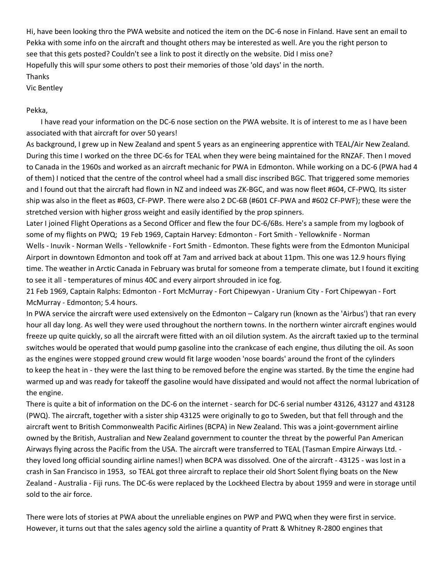Hi, have been looking thro the PWA website and noticed the item on the DC-6 nose in Finland. Have sent an email to Pekka with some info on the aircraft and thought others may be interested as well. Are you the right person to see that this gets posted? Couldn't see a link to post it directly on the website. Did I miss one? Hopefully this will spur some others to post their memories of those 'old days' in the north. Thanks

Vic Bentley

Pekka,

 I have read your information on the DC-6 nose section on the PWA website. It is of interest to me as I have been associated with that aircraft for over 50 years!

As background, I grew up in New Zealand and spent 5 years as an engineering apprentice with TEAL/Air New Zealand. During this time I worked on the three DC-6s for TEAL when they were being maintained for the RNZAF. Then I moved to Canada in the 1960s and worked as an aircraft mechanic for PWA in Edmonton. While working on a DC-6 (PWA had 4 of them) I noticed that the centre of the control wheel had a small disc inscribed BGC. That triggered some memories and I found out that the aircraft had flown in NZ and indeed was ZK-BGC, and was now fleet #604, CF-PWQ. Its sister ship was also in the fleet as #603, CF-PWP. There were also 2 DC-6B (#601 CF-PWA and #602 CF-PWF); these were the stretched version with higher gross weight and easily identified by the prop spinners.

Later I joined Flight Operations as a Second Officer and flew the four DC-6/6Bs. Here's a sample from my logbook of some of my flights on PWQ; 19 Feb 1969, Captain Harvey: Edmonton - Fort Smith - Yellowknife - Norman Wells - Inuvik - Norman Wells - Yellowknife - Fort Smith - Edmonton. These fights were from the Edmonton Municipal Airport in downtown Edmonton and took off at 7am and arrived back at about 11pm. This one was 12.9 hours flying time. The weather in Arctic Canada in February was brutal for someone from a temperate climate, but I found it exciting to see it all - temperatures of minus 40C and every airport shrouded in ice fog.

21 Feb 1969, Captain Ralphs: Edmonton - Fort McMurray - Fort Chipewyan - Uranium City - Fort Chipewyan - Fort McMurray - Edmonton; 5.4 hours.

In PWA service the aircraft were used extensively on the Edmonton – Calgary run (known as the 'Airbus') that ran every hour all day long. As well they were used throughout the northern towns. In the northern winter aircraft engines would freeze up quite quickly, so all the aircraft were fitted with an oil dilution system. As the aircraft taxied up to the terminal switches would be operated that would pump gasoline into the crankcase of each engine, thus diluting the oil. As soon as the engines were stopped ground crew would fit large wooden 'nose boards' around the front of the cylinders to keep the heat in - they were the last thing to be removed before the engine was started. By the time the engine had warmed up and was ready for takeoff the gasoline would have dissipated and would not affect the normal lubrication of the engine.

There is quite a bit of information on the DC-6 on the internet - search for DC-6 serial number 43126, 43127 and 43128 (PWQ). The aircraft, together with a sister ship 43125 were originally to go to Sweden, but that fell through and the aircraft went to British Commonwealth Pacific Airlines (BCPA) in New Zealand. This was a joint-government airline owned by the British, Australian and New Zealand government to counter the threat by the powerful Pan American Airways flying across the Pacific from the USA. The aircraft were transferred to TEAL (Tasman Empire Airways Ltd. they loved long official sounding airline names!) when BCPA was dissolved. One of the aircraft - 43125 - was lost in a crash in San Francisco in 1953, so TEAL got three aircraft to replace their old Short Solent flying boats on the New Zealand - Australia - Fiji runs. The DC-6s were replaced by the Lockheed Electra by about 1959 and were in storage until sold to the air force.

There were lots of stories at PWA about the unreliable engines on PWP and PWQ when they were first in service. However, it turns out that the sales agency sold the airline a quantity of Pratt & Whitney R-2800 engines that